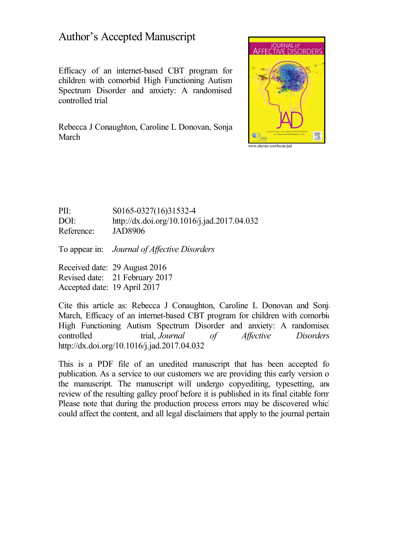# Author's Accepted Manuscript

Efficacy of an internet-based CBT program for children with comorbid High Functioning Autism Spectrum Disorder and anxiety: A randomised controlled trial

Rebecca J Conaughton, Caroline L Donovan, Sonja March



### PII: S0165-0327(16)31532-4 DOI: <http://dx.doi.org/10.1016/j.jad.2017.04.032> Reference: JAD8906

To appear in: *Journal of Af ective Disorders*

Received date: 29 August 2016 Revised date: 21 February 2017 Accepted date: 19 April 2017

Cite this article as: Rebecca J Conaughton, Caroline L Donovan and Sonja March, Efficacy of an internet-based CBT program for children with comorbid High Functioning Autism Spectrum Disorder and anxiety: A randomised controlled trial, *Journal of Affective Disorders* <http://dx.doi.org/10.1016/j.jad.2017.04.032>

This is a PDF file of an unedited manuscript that has been accepted for publication. As a service to our customers we are providing this early version of the manuscript. The manuscript will undergo copyediting, typesetting, and review of the resulting galley proof before it is published in its final citable form. Please note that during the production process errors may be discovered which could affect the content, and all legal disclaimers that apply to the journal pertain.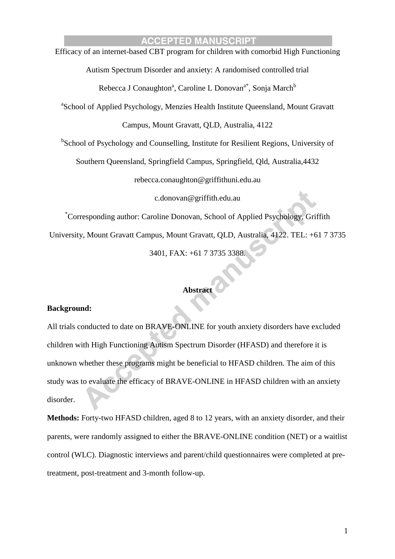### **ACCEPTED MANUSCRIPT** Efficacy of an internet-based CBT program for children with comorbid High Functioning

Autism Spectrum Disorder and anxiety: A randomised controlled trial Rebecca J Conaughton<sup>a</sup>, Caroline L Donovan<sup>a\*</sup>, Sonja March<sup>b</sup> <sup>a</sup>School of Applied Psychology, Menzies Health Institute Queensland, Mount Gravatt Campus, Mount Gravatt, QLD, Australia, 4122 <sup>b</sup>School of Psychology and Counselling, Institute for Resilient Regions, University of Southern Queensland, Springfield Campus, Springfield, Qld, Australia,4432 rebecca.conaughton@griffithuni.edu.au c.donovan@griffith.edu.au \*Corresponding author: Caroline Donovan, School of Applied Psychology, Griffith University, Mount Gravatt Campus, Mount Gravatt, QLD, Australia, 4122. TEL: +61 7 3735 3401, FAX: +61 7 3735 3388.

### **Abstract**

#### **Background:**

All trials conducted to date on BRAVE-ONLINE for youth anxiety disorders have excluded children with High Functioning Autism Spectrum Disorder (HFASD) and therefore it is unknown whether these programs might be beneficial to HFASD children. The aim of this study was to evaluate the efficacy of BRAVE-ONLINE in HFASD children with an anxiety disorder.

**Methods:** Forty-two HFASD children, aged 8 to 12 years, with an anxiety disorder, and their parents, were randomly assigned to either the BRAVE-ONLINE condition (NET) or a waitlist control (WLC). Diagnostic interviews and parent/child questionnaires were completed at pretreatment, post-treatment and 3-month follow-up.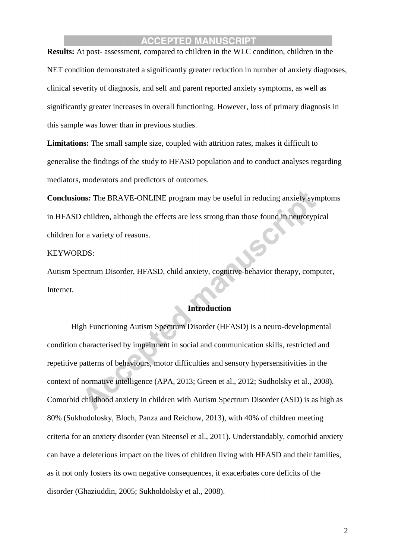**Results:** At post- assessment, compared to children in the WLC condition, children in the NET condition demonstrated a significantly greater reduction in number of anxiety diagnoses, clinical severity of diagnosis, and self and parent reported anxiety symptoms, as well as significantly greater increases in overall functioning. However, loss of primary diagnosis in this sample was lower than in previous studies.

**Limitations:** The small sample size, coupled with attrition rates, makes it difficult to generalise the findings of the study to HFASD population and to conduct analyses regarding mediators, moderators and predictors of outcomes.

**Conclusions***:* The BRAVE-ONLINE program may be useful in reducing anxiety symptoms in HFASD children, although the effects are less strong than those found in neurotypical children for a variety of reasons.

#### KEYWORDS:

Autism Spectrum Disorder, HFASD, child anxiety, cognitive-behavior therapy, computer, Internet.

#### **Introduction**

High Functioning Autism Spectrum Disorder (HFASD) is a neuro-developmental condition characterised by impairment in social and communication skills, restricted and repetitive patterns of behaviours, motor difficulties and sensory hypersensitivities in the context of normative intelligence (APA, 2013; Green et al., 2012; Sudholsky et al., 2008). Comorbid childhood anxiety in children with Autism Spectrum Disorder (ASD) is as high as 80% (Sukhodolosky, Bloch, Panza and Reichow, 2013), with 40% of children meeting criteria for an anxiety disorder (van Steensel et al., 2011). Understandably, comorbid anxiety can have a deleterious impact on the lives of children living with HFASD and their families, as it not only fosters its own negative consequences, it exacerbates core deficits of the disorder (Ghaziuddin, 2005; Sukholdolsky et al., 2008).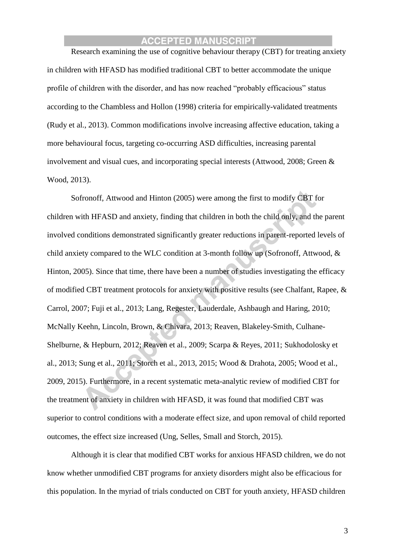Research examining the use of cognitive behaviour therapy (CBT) for treating anxiety in children with HFASD has modified traditional CBT to better accommodate the unique profile of children with the disorder, and has now reached "probably efficacious" status according to the Chambless and Hollon (1998) criteria for empirically-validated treatments (Rudy et al., 2013). Common modifications involve increasing affective education, taking a more behavioural focus, targeting co-occurring ASD difficulties, increasing parental involvement and visual cues, and incorporating special interests (Attwood, 2008; Green & Wood, 2013).

Sofronoff, Attwood and Hinton (2005) were among the first to modify CBT for children with HFASD and anxiety, finding that children in both the child only, and the parent involved conditions demonstrated significantly greater reductions in parent-reported levels of child anxiety compared to the WLC condition at 3-month follow up (Sofronoff, Attwood, & Hinton, 2005). Since that time, there have been a number of studies investigating the efficacy of modified CBT treatment protocols for anxiety with positive results (see Chalfant, Rapee, & Carrol, 2007; Fuji et al., 2013; Lang, Regester, Lauderdale, Ashbaugh and Haring, 2010; McNally Keehn, Lincoln, Brown, & Chivara, 2013; Reaven, Blakeley-Smith, Culhane-Shelburne, & Hepburn, 2012; Reaven et al., 2009; Scarpa & Reyes, 2011; Sukhodolosky et al., 2013; Sung et al., 2011; Storch et al., 2013, 2015; Wood & Drahota, 2005; Wood et al., 2009, 2015). Furthermore, in a recent systematic meta-analytic review of modified CBT for the treatment of anxiety in children with HFASD, it was found that modified CBT was superior to control conditions with a moderate effect size, and upon removal of child reported outcomes, the effect size increased (Ung, Selles, Small and Storch, 2015).

Although it is clear that modified CBT works for anxious HFASD children, we do not know whether unmodified CBT programs for anxiety disorders might also be efficacious for this population. In the myriad of trials conducted on CBT for youth anxiety, HFASD children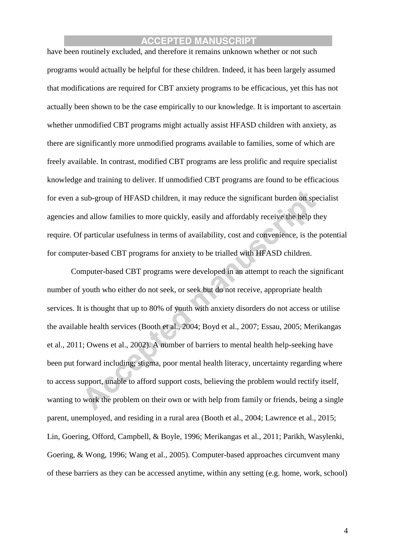have been routinely excluded, and therefore it remains unknown whether or not such programs would actually be helpful for these children. Indeed, it has been largely assumed that modifications are required for CBT anxiety programs to be efficacious, yet this has not actually been shown to be the case empirically to our knowledge. It is important to ascertain whether unmodified CBT programs might actually assist HFASD children with anxiety, as there are significantly more unmodified programs available to families, some of which are freely available. In contrast, modified CBT programs are less prolific and require specialist knowledge and training to deliver. If unmodified CBT programs are found to be efficacious for even a sub-group of HFASD children, it may reduce the significant burden on specialist agencies and allow families to more quickly, easily and affordably receive the help they require. Of particular usefulness in terms of availability, cost and convenience, is the potential for computer-based CBT programs for anxiety to be trialled with HFASD children.

Computer-based CBT programs were developed in an attempt to reach the significant number of youth who either do not seek, or seek but do not receive, appropriate health services. It is thought that up to 80% of youth with anxiety disorders do not access or utilise the available health services (Booth et al., 2004; Boyd et al., 2007; Essau, 2005; Merikangas et al., 2011; Owens et al., 2002). A number of barriers to mental health help-seeking have been put forward including; stigma, poor mental health literacy, uncertainty regarding where to access support, unable to afford support costs, believing the problem would rectify itself, wanting to work the problem on their own or with help from family or friends, being a single parent, unemployed, and residing in a rural area (Booth et al., 2004; Lawrence et al., 2015; Lin, Goering, Offord, Campbell, & Boyle, 1996; Merikangas et al., 2011; Parikh, Wasylenki, Goering, & Wong, 1996; Wang et al., 2005). Computer-based approaches circumvent many of these barriers as they can be accessed anytime, within any setting (e.g. home, work, school)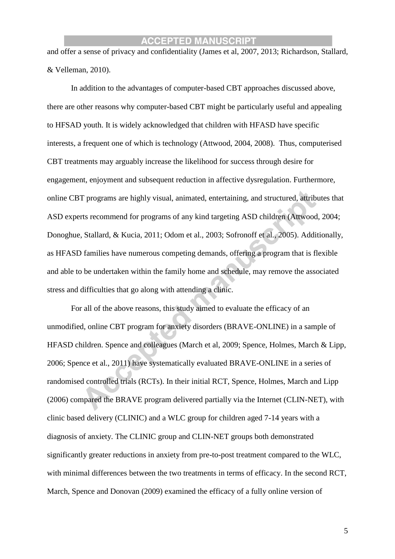and offer a sense of privacy and confidentiality (James et al, 2007, 2013; Richardson, Stallard, & Velleman, 2010).

In addition to the advantages of computer-based CBT approaches discussed above, there are other reasons why computer-based CBT might be particularly useful and appealing to HFSAD youth. It is widely acknowledged that children with HFASD have specific interests, a frequent one of which is technology (Attwood, 2004, 2008). Thus, computerised CBT treatments may arguably increase the likelihood for success through desire for engagement, enjoyment and subsequent reduction in affective dysregulation. Furthermore, online CBT programs are highly visual, animated, entertaining, and structured, attributes that ASD experts recommend for programs of any kind targeting ASD children (Attwood, 2004; Donoghue, Stallard, & Kucia, 2011; Odom et al., 2003; Sofronoff et al., 2005). Additionally, as HFASD families have numerous competing demands, offering a program that is flexible and able to be undertaken within the family home and schedule, may remove the associated stress and difficulties that go along with attending a clinic.

For all of the above reasons, this study aimed to evaluate the efficacy of an unmodified, online CBT program for anxiety disorders (BRAVE-ONLINE) in a sample of HFASD children. Spence and colleagues (March et al, 2009; Spence, Holmes, March & Lipp, 2006; Spence et al., 2011) have systematically evaluated BRAVE-ONLINE in a series of randomised controlled trials (RCTs). In their initial RCT, Spence, Holmes, March and Lipp (2006) compared the BRAVE program delivered partially via the Internet (CLIN-NET), with clinic based delivery (CLINIC) and a WLC group for children aged 7-14 years with a diagnosis of anxiety. The CLINIC group and CLIN-NET groups both demonstrated significantly greater reductions in anxiety from pre-to-post treatment compared to the WLC, with minimal differences between the two treatments in terms of efficacy. In the second RCT, March, Spence and Donovan (2009) examined the efficacy of a fully online version of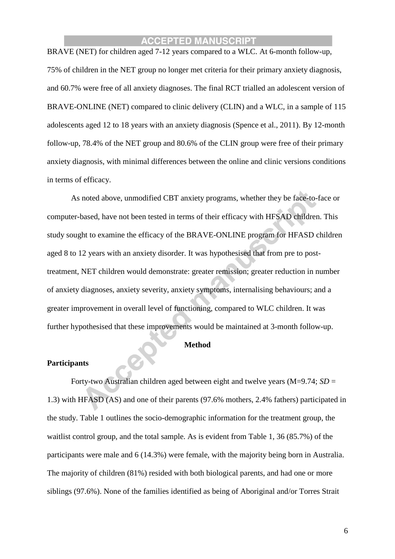BRAVE (NET) for children aged 7-12 years compared to a WLC. At 6-month follow-up, 75% of children in the NET group no longer met criteria for their primary anxiety diagnosis, and 60.7% were free of all anxiety diagnoses. The final RCT trialled an adolescent version of BRAVE-ONLINE (NET) compared to clinic delivery (CLIN) and a WLC, in a sample of 115 adolescents aged 12 to 18 years with an anxiety diagnosis (Spence et al., 2011). By 12-month follow-up, 78.4% of the NET group and 80.6% of the CLIN group were free of their primary anxiety diagnosis, with minimal differences between the online and clinic versions conditions in terms of efficacy.

As noted above, unmodified CBT anxiety programs, whether they be face-to-face or computer-based, have not been tested in terms of their efficacy with HFSAD children. This study sought to examine the efficacy of the BRAVE-ONLINE program for HFASD children aged 8 to 12 years with an anxiety disorder. It was hypothesised that from pre to posttreatment, NET children would demonstrate: greater remission; greater reduction in number of anxiety diagnoses, anxiety severity, anxiety symptoms, internalising behaviours; and a greater improvement in overall level of functioning, compared to WLC children. It was further hypothesised that these improvements would be maintained at 3-month follow-up.

#### **Method**

#### **Participants**

Forty-two Australian children aged between eight and twelve years (M=9.74; *SD* = 1.3) with HFASD (AS) and one of their parents (97.6% mothers, 2.4% fathers) participated in the study. Table 1 outlines the socio-demographic information for the treatment group, the waitlist control group, and the total sample. As is evident from Table 1, 36 (85.7%) of the participants were male and 6 (14.3%) were female, with the majority being born in Australia. The majority of children (81%) resided with both biological parents, and had one or more siblings (97.6%). None of the families identified as being of Aboriginal and/or Torres Strait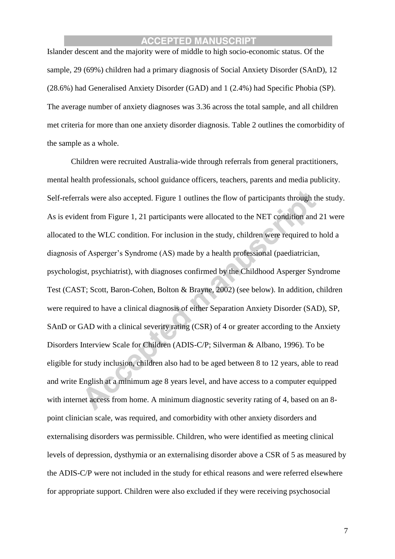Islander descent and the majority were of middle to high socio-economic status. Of the sample, 29 (69%) children had a primary diagnosis of Social Anxiety Disorder (SAnD), 12 (28.6%) had Generalised Anxiety Disorder (GAD) and 1 (2.4%) had Specific Phobia (SP). The average number of anxiety diagnoses was 3.36 across the total sample, and all children met criteria for more than one anxiety disorder diagnosis. Table 2 outlines the comorbidity of the sample as a whole.

Children were recruited Australia-wide through referrals from general practitioners, mental health professionals, school guidance officers, teachers, parents and media publicity. Self-referrals were also accepted. Figure 1 outlines the flow of participants through the study. As is evident from Figure 1, 21 participants were allocated to the NET condition and 21 were allocated to the WLC condition. For inclusion in the study, children were required to hold a diagnosis of Asperger's Syndrome (AS) made by a health professional (paediatrician, psychologist, psychiatrist), with diagnoses confirmed by the Childhood Asperger Syndrome Test (CAST; Scott, Baron-Cohen, Bolton & Brayne, 2002) (see below). In addition, children were required to have a clinical diagnosis of either Separation Anxiety Disorder (SAD), SP, SAnD or GAD with a clinical severity rating (CSR) of 4 or greater according to the Anxiety Disorders Interview Scale for Children (ADIS-C/P; Silverman & Albano, 1996). To be eligible for study inclusion, children also had to be aged between 8 to 12 years, able to read and write English at a minimum age 8 years level, and have access to a computer equipped with internet access from home. A minimum diagnostic severity rating of 4, based on an 8point clinician scale, was required, and comorbidity with other anxiety disorders and externalising disorders was permissible. Children, who were identified as meeting clinical levels of depression, dysthymia or an externalising disorder above a CSR of 5 as measured by the ADIS-C/P were not included in the study for ethical reasons and were referred elsewhere for appropriate support. Children were also excluded if they were receiving psychosocial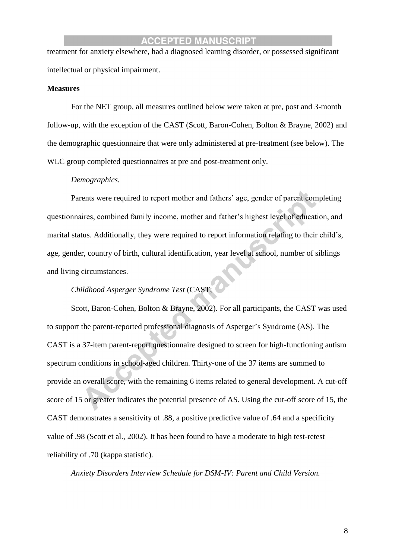treatment for anxiety elsewhere, had a diagnosed learning disorder, or possessed significant intellectual or physical impairment.

#### **Measures**

For the NET group, all measures outlined below were taken at pre, post and 3-month follow-up, with the exception of the CAST (Scott, Baron-Cohen, Bolton & Brayne, 2002) and the demographic questionnaire that were only administered at pre-treatment (see below). The WLC group completed questionnaires at pre and post-treatment only.

#### *Demographics.*

Parents were required to report mother and fathers' age, gender of parent completing questionnaires, combined family income, mother and father's highest level of education, and marital status. Additionally, they were required to report information relating to their child's, age, gender, country of birth, cultural identification, year level at school, number of siblings and living circumstances.

### *Childhood Asperger Syndrome Test* (CAST;

Scott, Baron-Cohen, Bolton & Brayne, 2002)*.* For all participants, the CAST was used to support the parent-reported professional diagnosis of Asperger's Syndrome (AS). The CAST is a 37-item parent-report questionnaire designed to screen for high-functioning autism spectrum conditions in school-aged children. Thirty-one of the 37 items are summed to provide an overall score, with the remaining 6 items related to general development. A cut-off score of 15 or greater indicates the potential presence of AS. Using the cut-off score of 15, the CAST demonstrates a sensitivity of .88, a positive predictive value of .64 and a specificity value of .98 (Scott et al., 2002). It has been found to have a moderate to high test-retest reliability of .70 (kappa statistic).

*Anxiety Disorders Interview Schedule for DSM-IV: Parent and Child Version.*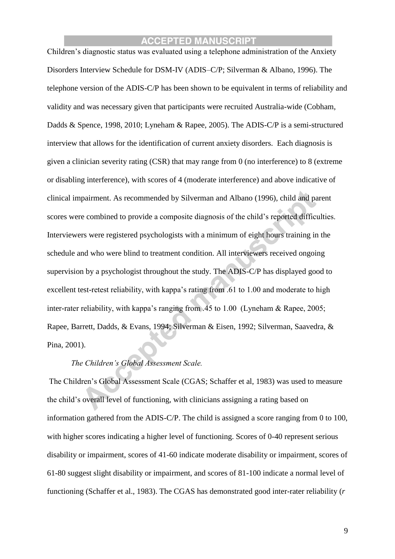Children's diagnostic status was evaluated using a telephone administration of the Anxiety Disorders Interview Schedule for DSM-IV (ADIS–C/P; Silverman & Albano, 1996). The telephone version of the ADIS-C/P has been shown to be equivalent in terms of reliability and validity and was necessary given that participants were recruited Australia-wide (Cobham, Dadds & Spence, 1998, 2010; Lyneham & Rapee, 2005). The ADIS-C/P is a semi-structured interview that allows for the identification of current anxiety disorders. Each diagnosis is given a clinician severity rating (CSR) that may range from 0 (no interference) to 8 (extreme or disabling interference), with scores of 4 (moderate interference) and above indicative of clinical impairment. As recommended by Silverman and Albano (1996), child and parent scores were combined to provide a composite diagnosis of the child's reported difficulties. Interviewers were registered psychologists with a minimum of eight hours training in the schedule and who were blind to treatment condition. All interviewers received ongoing supervision by a psychologist throughout the study. The ADIS-C/P has displayed good to excellent test-retest reliability, with kappa's rating from .61 to 1.00 and moderate to high inter-rater reliability, with kappa's ranging from .45 to 1.00 (Lyneham & Rapee, 2005; Rapee, Barrett, Dadds, & Evans, 1994; Silverman & Eisen, 1992; Silverman, Saavedra, & Pina, 2001).

### *The Children's Global Assessment Scale.*

The Children's Global Assessment Scale (CGAS; Schaffer et al, 1983) was used to measure the child's overall level of functioning, with clinicians assigning a rating based on information gathered from the ADIS-C/P. The child is assigned a score ranging from 0 to 100, with higher scores indicating a higher level of functioning. Scores of 0-40 represent serious disability or impairment, scores of 41-60 indicate moderate disability or impairment, scores of 61-80 suggest slight disability or impairment, and scores of 81-100 indicate a normal level of functioning (Schaffer et al., 1983). The CGAS has demonstrated good inter-rater reliability (*r*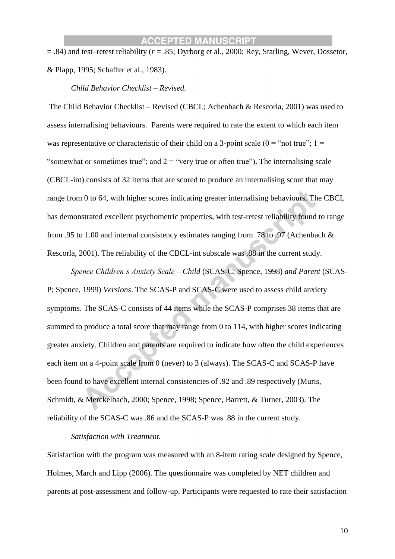= .84) and test–retest reliability (*r* = .85; Dyrborg et al., 2000; Rey, Starling, Wever, Dossetor, & Plapp, 1995; Schaffer et al., 1983).

*Child Behavior Checklist – Revised.*

The Child Behavior Checklist – Revised (CBCL; Achenbach & Rescorla, 2001) was used to assess internalising behaviours. Parents were required to rate the extent to which each item was representative or characteristic of their child on a 3-point scale  $(0 = "not true"; 1 =$ "somewhat or sometimes true"; and  $2 =$  "very true or often true"). The internalising scale (CBCL-int) consists of 32 items that are scored to produce an internalising score that may range from 0 to 64, with higher scores indicating greater internalising behaviours. The CBCL has demonstrated excellent psychometric properties, with test-retest reliability found to range from .95 to 1.00 and internal consistency estimates ranging from .78 to .97 (Achenbach & Rescorla, 2001). The reliability of the CBCL-int subscale was .88 in the current study.

*Spence Children's Anxiety Scale – Child* (SCAS-C; Spence, 1998) *and Parent* (SCAS-P; Spence, 1999) *Versions*. The SCAS-P and SCAS-C were used to assess child anxiety symptoms. The SCAS-C consists of 44 items while the SCAS-P comprises 38 items that are summed to produce a total score that may range from 0 to 114, with higher scores indicating greater anxiety. Children and parents are required to indicate how often the child experiences each item on a 4-point scale from 0 (never) to 3 (always). The SCAS-C and SCAS-P have been found to have excellent internal consistencies of .92 and .89 respectively (Muris, Schmidt, & Merckelbach, 2000; Spence, 1998; Spence, Barrett, & Turner, 2003). The reliability of the SCAS-C was .86 and the SCAS-P was .88 in the current study.

*Satisfaction with Treatment.* 

Satisfaction with the program was measured with an 8-item rating scale designed by Spence, Holmes, March and Lipp (2006). The questionnaire was completed by NET children and parents at post-assessment and follow-up. Participants were requested to rate their satisfaction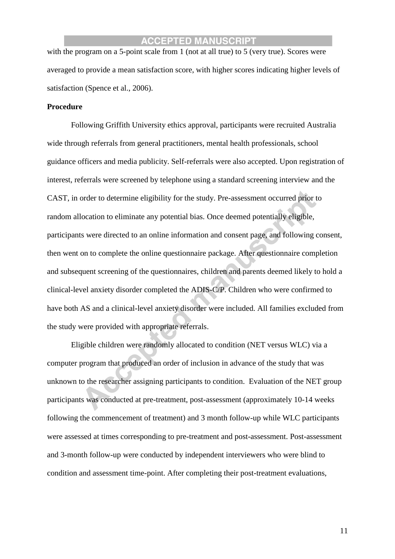with the program on a 5-point scale from 1 (not at all true) to 5 (very true). Scores were averaged to provide a mean satisfaction score, with higher scores indicating higher levels of satisfaction (Spence et al., 2006).

#### **Procedure**

Following Griffith University ethics approval, participants were recruited Australia wide through referrals from general practitioners, mental health professionals, school guidance officers and media publicity. Self-referrals were also accepted. Upon registration of interest, referrals were screened by telephone using a standard screening interview and the CAST, in order to determine eligibility for the study. Pre-assessment occurred prior to random allocation to eliminate any potential bias*.* Once deemed potentially eligible, participants were directed to an online information and consent page, and following consent, then went on to complete the online questionnaire package. After questionnaire completion and subsequent screening of the questionnaires, children and parents deemed likely to hold a clinical-level anxiety disorder completed the ADIS-C/P. Children who were confirmed to have both AS and a clinical-level anxiety disorder were included. All families excluded from the study were provided with appropriate referrals.

Eligible children were randomly allocated to condition (NET versus WLC) via a computer program that produced an order of inclusion in advance of the study that was unknown to the researcher assigning participants to condition. Evaluation of the NET group participants was conducted at pre-treatment, post-assessment (approximately 10-14 weeks following the commencement of treatment) and 3 month follow-up while WLC participants were assessed at times corresponding to pre-treatment and post-assessment. Post-assessment and 3-month follow-up were conducted by independent interviewers who were blind to condition and assessment time-point. After completing their post-treatment evaluations,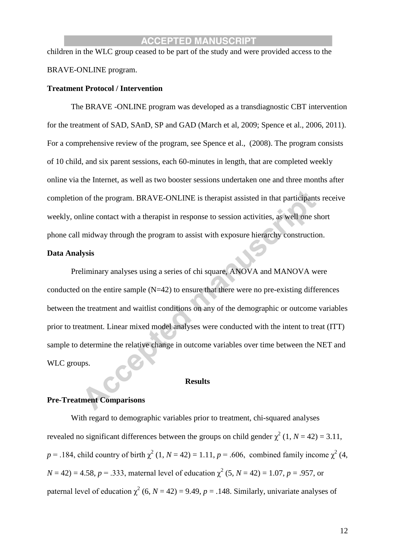children in the WLC group ceased to be part of the study and were provided access to the BRAVE-ONLINE program.

#### **Treatment Protocol / Intervention**

The BRAVE -ONLINE program was developed as a transdiagnostic CBT intervention for the treatment of SAD, SAnD, SP and GAD (March et al, 2009; Spence et al., 2006, 2011). For a comprehensive review of the program, see Spence et al., (2008). The program consists of 10 child, and six parent sessions, each 60-minutes in length, that are completed weekly online via the Internet, as well as two booster sessions undertaken one and three months after completion of the program. BRAVE-ONLINE is therapist assisted in that participants receive weekly, online contact with a therapist in response to session activities, as well one short phone call midway through the program to assist with exposure hierarchy construction.

#### **Data Analysis**

Preliminary analyses using a series of chi square, ANOVA and MANOVA were conducted on the entire sample  $(N=42)$  to ensure that there were no pre-existing differences between the treatment and waitlist conditions on any of the demographic or outcome variables prior to treatment. Linear mixed model analyses were conducted with the intent to treat (ITT) sample to determine the relative change in outcome variables over time between the NET and WLC groups.

#### **Results**

#### **Pre-Treatment Comparisons**

With regard to demographic variables prior to treatment, chi-squared analyses revealed no significant differences between the groups on child gender  $\chi^2$  (1, *N* = 42) = 3.11,  $p = 0.184$ , child country of birth  $\chi^2$  (1, *N* = 42) = 1.11, *p* = .606, combined family income  $\chi^2$  (4,  $N = 42$ ) = 4.58, *p* = .333, maternal level of education  $\chi^2$  (5, *N* = 42) = 1.07, *p* = .957, or paternal level of education  $\chi^2$  (6, *N* = 42) = 9.49, *p* = .148. Similarly, univariate analyses of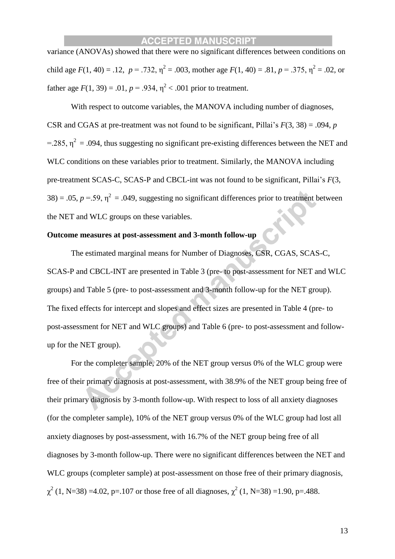variance (ANOVAs) showed that there were no significant differences between conditions on child age  $F(1, 40) = .12$ ,  $p = .732$ ,  $\eta^2 = .003$ , mother age  $F(1, 40) = .81$ ,  $p = .375$ ,  $\eta^2 = .02$ , or father age  $F(1, 39) = .01$ ,  $p = .934$ ,  $\eta^2 < .001$  prior to treatment.

With respect to outcome variables, the MANOVA including number of diagnoses, CSR and CGAS at pre-treatment was not found to be significant, Pillai's *F*(3, 38) = .094, *p* =.285,  $\eta^2$  = .094, thus suggesting no significant pre-existing differences between the NET and WLC conditions on these variables prior to treatment. Similarly, the MANOVA including pre-treatment SCAS-C, SCAS-P and CBCL-int was not found to be significant, Pillai's *F*(3,  $38$ ) = .05,  $p = .59$ ,  $\eta^2 = .049$ , suggesting no significant differences prior to treatment between the NET and WLC groups on these variables.

### **Outcome measures at post-assessment and 3-month follow-up**

The estimated marginal means for Number of Diagnoses, CSR, CGAS, SCAS-C, SCAS-P and CBCL-INT are presented in Table 3 (pre- to post-assessment for NET and WLC groups) and Table 5 (pre- to post-assessment and 3-month follow-up for the NET group). The fixed effects for intercept and slopes and effect sizes are presented in Table 4 (pre- to post-assessment for NET and WLC groups) and Table 6 (pre- to post-assessment and followup for the NET group).

For the completer sample, 20% of the NET group versus 0% of the WLC group were free of their primary diagnosis at post-assessment, with 38.9% of the NET group being free of their primary diagnosis by 3-month follow-up. With respect to loss of all anxiety diagnoses (for the completer sample), 10% of the NET group versus 0% of the WLC group had lost all anxiety diagnoses by post-assessment, with 16.7% of the NET group being free of all diagnoses by 3-month follow-up. There were no significant differences between the NET and WLC groups (completer sample) at post-assessment on those free of their primary diagnosis,  $\chi^2$  (1, N=38) =4.02, p=.107 or those free of all diagnoses,  $\chi^2$  (1, N=38) =1.90, p=.488.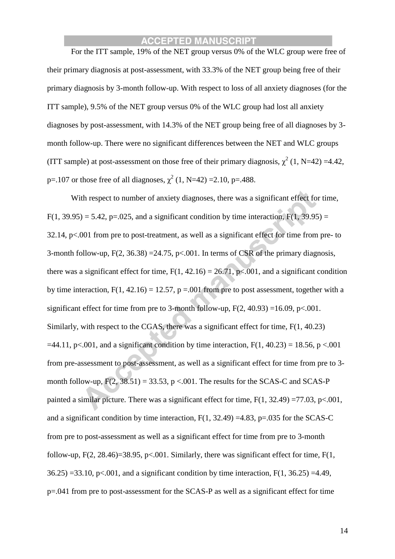For the ITT sample, 19% of the NET group versus 0% of the WLC group were free of their primary diagnosis at post-assessment, with 33.3% of the NET group being free of their primary diagnosis by 3-month follow-up. With respect to loss of all anxiety diagnoses (for the ITT sample), 9.5% of the NET group versus 0% of the WLC group had lost all anxiety diagnoses by post-assessment, with 14.3% of the NET group being free of all diagnoses by 3 month follow-up. There were no significant differences between the NET and WLC groups (ITT sample) at post-assessment on those free of their primary diagnosis,  $\chi^2$  (1, N=42) =4.42, p=.107 or those free of all diagnoses,  $\chi^2$  (1, N=42) =2.10, p=.488.

With respect to number of anxiety diagnoses, there was a significant effect for time,  $F(1, 39.95) = 5.42$ , p=.025, and a significant condition by time interaction,  $F(1, 39.95) =$ 32.14, p<.001 from pre to post-treatment, as well as a significant effect for time from pre- to 3-month follow-up,  $F(2, 36.38) = 24.75$ ,  $p < .001$ . In terms of CSR of the primary diagnosis, there was a significant effect for time,  $F(1, 42.16) = 26.71$ ,  $p \le 0.001$ , and a significant condition by time interaction,  $F(1, 42.16) = 12.57$ ,  $p = .001$  from pre to post assessment, together with a significant effect for time from pre to 3-month follow-up,  $F(2, 40.93) = 16.09$ , p<.001. Similarly, with respect to the CGAS, there was a significant effect for time, F(1, 40.23)  $=44.11$ , p<.001, and a significant condition by time interaction, F(1, 40.23) = 18.56, p <.001 from pre-assessment to post-assessment, as well as a significant effect for time from pre to 3 month follow-up,  $F(2, 38.51) = 33.53$ ,  $p < .001$ . The results for the SCAS-C and SCAS-P painted a similar picture. There was a significant effect for time,  $F(1, 32.49) = 77.03$ , p<.001, and a significant condition by time interaction,  $F(1, 32.49) = 4.83$ , p=.035 for the SCAS-C from pre to post-assessment as well as a significant effect for time from pre to 3-month follow-up,  $F(2, 28.46) = 38.95$ ,  $p < .001$ . Similarly, there was significant effect for time,  $F(1, 1)$  $36.25$ ) =33.10, p<.001, and a significant condition by time interaction, F(1, 36.25) =4.49, p=.041 from pre to post-assessment for the SCAS-P as well as a significant effect for time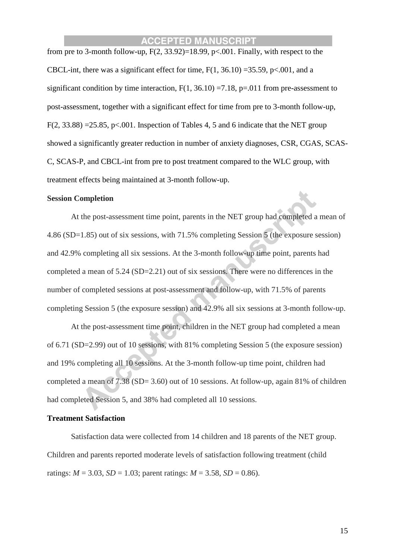from pre to 3-month follow-up,  $F(2, 33.92)=18.99$ ,  $p<.001$ . Finally, with respect to the CBCL-int, there was a significant effect for time,  $F(1, 36.10) = 35.59$ ,  $p < .001$ , and a significant condition by time interaction,  $F(1, 36.10) = 7.18$ , p=.011 from pre-assessment to post-assessment, together with a significant effect for time from pre to 3-month follow-up,  $F(2, 33.88) = 25.85$ , p<.001. Inspection of Tables 4, 5 and 6 indicate that the NET group showed a significantly greater reduction in number of anxiety diagnoses, CSR, CGAS, SCAS-C, SCAS-P, and CBCL-int from pre to post treatment compared to the WLC group, with treatment effects being maintained at 3-month follow-up.

#### **Session Completion**

At the post-assessment time point, parents in the NET group had completed a mean of 4.86 (SD=1.85) out of six sessions, with 71.5% completing Session 5 (the exposure session) and 42.9% completing all six sessions. At the 3-month follow-up time point, parents had completed a mean of 5.24 (SD=2.21) out of six sessions. There were no differences in the number of completed sessions at post-assessment and follow-up, with 71.5% of parents completing Session 5 (the exposure session) and 42.9% all six sessions at 3-month follow-up.

At the post-assessment time point, children in the NET group had completed a mean of 6.71 (SD=2.99) out of 10 sessions, with 81% completing Session 5 (the exposure session) and 19% completing all 10 sessions. At the 3-month follow-up time point, children had completed a mean of 7.38 (SD= 3.60) out of 10 sessions. At follow-up, again 81% of children had completed Session 5, and 38% had completed all 10 sessions.

#### **Treatment Satisfaction**

Satisfaction data were collected from 14 children and 18 parents of the NET group. Children and parents reported moderate levels of satisfaction following treatment (child ratings:  $M = 3.03$ ,  $SD = 1.03$ ; parent ratings:  $M = 3.58$ ,  $SD = 0.86$ ).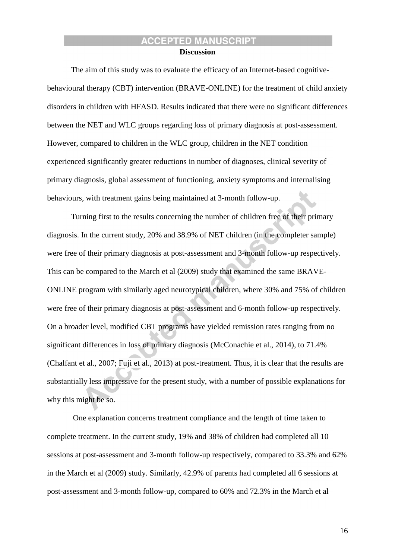#### **Discussion**

The aim of this study was to evaluate the efficacy of an Internet-based cognitivebehavioural therapy (CBT) intervention (BRAVE-ONLINE) for the treatment of child anxiety disorders in children with HFASD. Results indicated that there were no significant differences between the NET and WLC groups regarding loss of primary diagnosis at post-assessment. However, compared to children in the WLC group, children in the NET condition experienced significantly greater reductions in number of diagnoses, clinical severity of primary diagnosis, global assessment of functioning, anxiety symptoms and internalising behaviours, with treatment gains being maintained at 3-month follow-up.

Turning first to the results concerning the number of children free of their primary diagnosis. In the current study, 20% and 38.9% of NET children (in the completer sample) were free of their primary diagnosis at post-assessment and 3-month follow-up respectively. This can be compared to the March et al (2009) study that examined the same BRAVE-ONLINE program with similarly aged neurotypical children, where 30% and 75% of children were free of their primary diagnosis at post-assessment and 6-month follow-up respectively. On a broader level, modified CBT programs have yielded remission rates ranging from no significant differences in loss of primary diagnosis (McConachie et al., 2014), to 71.4% (Chalfant et al., 2007; Fuji et al., 2013) at post-treatment. Thus, it is clear that the results are substantially less impressive for the present study, with a number of possible explanations for why this might be so.

One explanation concerns treatment compliance and the length of time taken to complete treatment. In the current study, 19% and 38% of children had completed all 10 sessions at post-assessment and 3-month follow-up respectively, compared to 33.3% and 62% in the March et al (2009) study. Similarly, 42.9% of parents had completed all 6 sessions at post-assessment and 3-month follow-up, compared to 60% and 72.3% in the March et al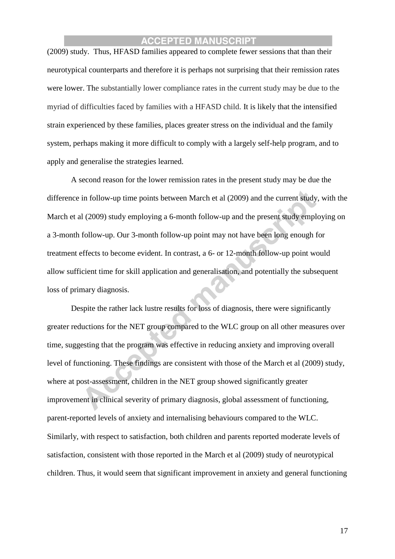(2009) study. Thus, HFASD families appeared to complete fewer sessions that than their neurotypical counterparts and therefore it is perhaps not surprising that their remission rates were lower. The substantially lower compliance rates in the current study may be due to the myriad of difficulties faced by families with a HFASD child. It is likely that the intensified strain experienced by these families, places greater stress on the individual and the family system, perhaps making it more difficult to comply with a largely self-help program, and to apply and generalise the strategies learned.

A second reason for the lower remission rates in the present study may be due the difference in follow-up time points between March et al (2009) and the current study, with the March et al (2009) study employing a 6-month follow-up and the present study employing on a 3-month follow-up. Our 3-month follow-up point may not have been long enough for treatment effects to become evident. In contrast, a 6- or 12-month follow-up point would allow sufficient time for skill application and generalisation, and potentially the subsequent loss of primary diagnosis.

Despite the rather lack lustre results for loss of diagnosis, there were significantly greater reductions for the NET group compared to the WLC group on all other measures over time, suggesting that the program was effective in reducing anxiety and improving overall level of functioning. These findings are consistent with those of the March et al (2009) study, where at post-assessment, children in the NET group showed significantly greater improvement in clinical severity of primary diagnosis, global assessment of functioning, parent-reported levels of anxiety and internalising behaviours compared to the WLC. Similarly, with respect to satisfaction, both children and parents reported moderate levels of satisfaction, consistent with those reported in the March et al (2009) study of neurotypical children. Thus, it would seem that significant improvement in anxiety and general functioning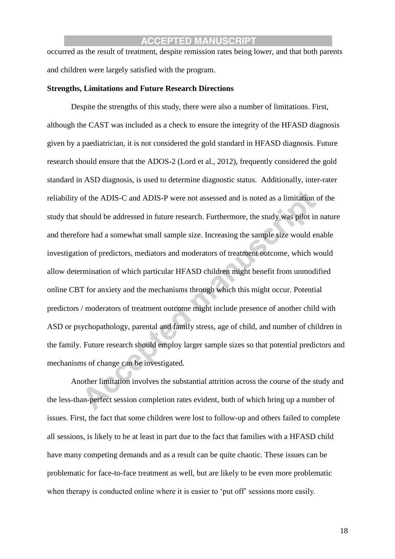occurred as the result of treatment, despite remission rates being lower, and that both parents and children were largely satisfied with the program.

#### **Strengths, Limitations and Future Research Directions**

Despite the strengths of this study, there were also a number of limitations. First, although the CAST was included as a check to ensure the integrity of the HFASD diagnosis given by a paediatrician, it is not considered the gold standard in HFASD diagnosis. Future research should ensure that the ADOS-2 (Lord et al., 2012), frequently considered the gold standard in ASD diagnosis, is used to determine diagnostic status. Additionally, inter-rater reliability of the ADIS-C and ADIS-P were not assessed and is noted as a limitation of the study that should be addressed in future research. Furthermore, the study was pilot in nature and therefore had a somewhat small sample size. Increasing the sample size would enable investigation of predictors, mediators and moderators of treatment outcome, which would allow determination of which particular HFASD children might benefit from unmodified online CBT for anxiety and the mechanisms through which this might occur. Potential predictors / moderators of treatment outcome might include presence of another child with ASD or psychopathology, parental and family stress, age of child, and number of children in the family. Future research should employ larger sample sizes so that potential predictors and mechanisms of change can be investigated.

Another limitation involves the substantial attrition across the course of the study and the less-than-perfect session completion rates evident, both of which bring up a number of issues. First, the fact that some children were lost to follow-up and others failed to complete all sessions, is likely to be at least in part due to the fact that families with a HFASD child have many competing demands and as a result can be quite chaotic. These issues can be problematic for face-to-face treatment as well, but are likely to be even more problematic when therapy is conducted online where it is easier to 'put off' sessions more easily.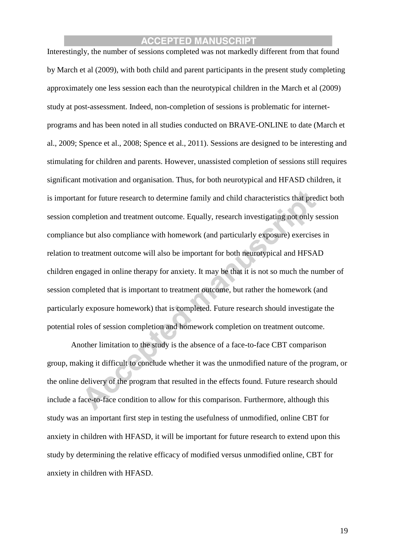Interestingly, the number of sessions completed was not markedly different from that found by March et al (2009), with both child and parent participants in the present study completing approximately one less session each than the neurotypical children in the March et al (2009) study at post-assessment. Indeed, non-completion of sessions is problematic for internetprograms and has been noted in all studies conducted on BRAVE-ONLINE to date (March et al., 2009; Spence et al., 2008; Spence et al., 2011). Sessions are designed to be interesting and stimulating for children and parents. However, unassisted completion of sessions still requires significant motivation and organisation. Thus, for both neurotypical and HFASD children, it is important for future research to determine family and child characteristics that predict both session completion and treatment outcome. Equally, research investigating not only session compliance but also compliance with homework (and particularly exposure) exercises in relation to treatment outcome will also be important for both neurotypical and HFSAD children engaged in online therapy for anxiety. It may be that it is not so much the number of session completed that is important to treatment outcome, but rather the homework (and particularly exposure homework) that is completed. Future research should investigate the potential roles of session completion and homework completion on treatment outcome.

Another limitation to the study is the absence of a face-to-face CBT comparison group, making it difficult to conclude whether it was the unmodified nature of the program, or the online delivery of the program that resulted in the effects found. Future research should include a face-to-face condition to allow for this comparison. Furthermore, although this study was an important first step in testing the usefulness of unmodified, online CBT for anxiety in children with HFASD, it will be important for future research to extend upon this study by determining the relative efficacy of modified versus unmodified online, CBT for anxiety in children with HFASD.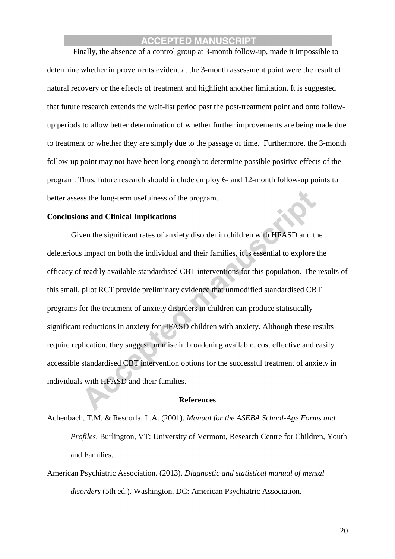Finally, the absence of a control group at 3-month follow-up, made it impossible to determine whether improvements evident at the 3-month assessment point were the result of natural recovery or the effects of treatment and highlight another limitation. It is suggested that future research extends the wait-list period past the post-treatment point and onto followup periods to allow better determination of whether further improvements are being made due to treatment or whether they are simply due to the passage of time. Furthermore, the 3-month follow-up point may not have been long enough to determine possible positive effects of the program. Thus, future research should include employ 6- and 12-month follow-up points to better assess the long-term usefulness of the program.

#### **Conclusions and Clinical Implications**

Given the significant rates of anxiety disorder in children with HFASD and the deleterious impact on both the individual and their families, it is essential to explore the efficacy of readily available standardised CBT interventions for this population. The results of this small, pilot RCT provide preliminary evidence that unmodified standardised CBT programs for the treatment of anxiety disorders in children can produce statistically significant reductions in anxiety for HFASD children with anxiety. Although these results require replication, they suggest promise in broadening available, cost effective and easily accessible standardised CBT intervention options for the successful treatment of anxiety in individuals with HFASD and their families.

#### **References**

Achenbach, T.M. & Rescorla, L.A. (2001). *Manual for the ASEBA School-Age Forms and Profiles*. Burlington, VT: University of Vermont, Research Centre for Children, Youth and Families.

American Psychiatric Association. (2013). *Diagnostic and statistical manual of mental disorders* (5th ed.). Washington, DC: American Psychiatric Association.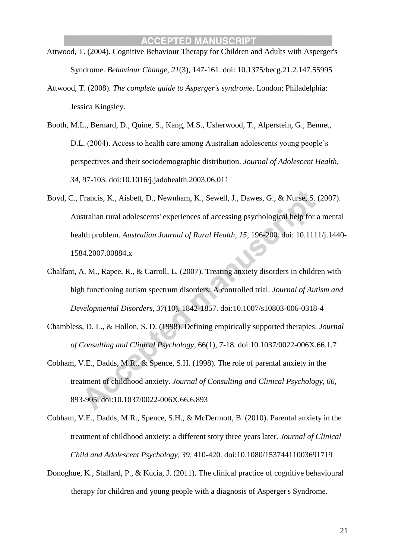- Attwood, T. (2004). Cognitive Behaviour Therapy for Children and Adults with Asperger's Syndrome. *Behaviour Change, 21*(3), 147-161. doi: 10.1375/becg.21.2.147.55995
- Attwood, T. (2008). *The complete guide to Asperger's syndrome*. London; Philadelphia: Jessica Kingsley.
- Booth, M.L., Bernard, D., Quine, S., Kang, M.S., Usherwood, T., Alperstein, G., Bennet, D.L. (2004). Access to health care among Australian adolescents young people's perspectives and their sociodemographic distribution. *Journal of Adolescent Health, 34*, 97-103. doi:10.1016/j.jadohealth.2003.06.011
- Boyd, C., Francis, K., Aisbett, D., Newnham, K., Sewell, J., Dawes, G., & Nurse, S. (2007). Australian rural adolescents' experiences of accessing psychological help for a mental health problem. *Australian Journal of Rural Health, 15*, 196-200. doi: 10.1111/j.1440- 1584.2007.00884.x
- Chalfant, A. M., Rapee, R., & Carroll, L. (2007). Treating anxiety disorders in children with high functioning autism spectrum disorders: A controlled trial. *Journal of Autism and Developmental Disorders, 37*(10), 1842-1857. doi:10.1007/s10803-006-0318-4
- Chambless, D. L., & Hollon, S. D. (1998). Defining empirically supported therapies. *Journal of Consulting and Clinical Psychology,* 66(1), 7-18. doi:10.1037/0022-006X.66.1.7
- Cobham, V.E., Dadds, M.R., & Spence, S.H. (1998). The role of parental anxiety in the treatment of childhood anxiety. *Journal of Consulting and Clinical Psychology, 66*, 893-905. doi:10.1037/0022-006X.66.6.893
- Cobham, V.E., Dadds, M.R., Spence, S.H., & McDermott, B. (2010). Parental anxiety in the treatment of childhood anxiety: a different story three years later. *Journal of Clinical Child and Adolescent Psychology, 39*, 410-420. doi:10.1080/15374411003691719
- Donoghue, K., Stallard, P., & Kucia, J. (2011). The clinical practice of cognitive behavioural therapy for children and young people with a diagnosis of Asperger's Syndrome.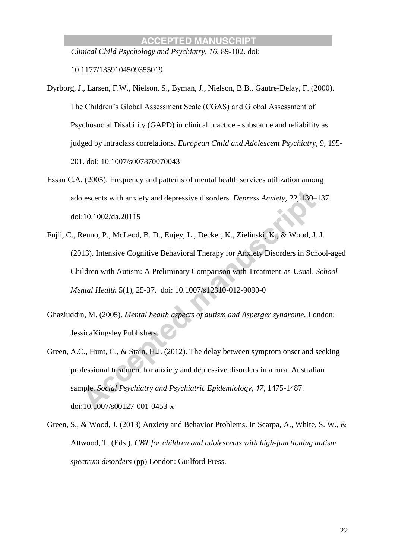*Clinical Child Psychology and Psychiatry, 16*, 89-102. doi:

10.1177/1359104509355019

- Dyrborg, J., Larsen, F.W., Nielson, S., Byman, J., Nielson, B.B., Gautre-Delay, F. (2000). The Children's Global Assessment Scale (CGAS) and Global Assessment of Psychosocial Disability (GAPD) in clinical practice - substance and reliability as judged by intraclass correlations. *European Child and Adolescent Psychiatry,* 9, 195- 201. doi: 10.1007/s007870070043
- Essau C.A. (2005). Frequency and patterns of mental health services utilization among adolescents with anxiety and depressive disorders. *Depress Anxiety, 22,* 130–137. doi:10.1002/da.20115
- Fujii, C., Renno, P., McLeod, B. D., Enjey, L., Decker, K., Zielinski, K., & Wood, J. J. (2013). Intensive Cognitive Behavioral Therapy for Anxiety Disorders in School-aged Children with Autism: A Preliminary Comparison with Treatment-as-Usual. *School Mental Health* 5(1), 25-37. doi: 10.1007/s12310-012-9090-0
- Ghaziuddin, M. (2005). *Mental health aspects of autism and Asperger syndrome*. London: JessicaKingsley Publishers.
- Green, A.C., Hunt, C., & Stain, H.J. (2012). The delay between symptom onset and seeking professional treatment for anxiety and depressive disorders in a rural Australian sample. *Social Psychiatry and Psychiatric Epidemiology, 47*, 1475-1487. doi:10.1007/s00127-001-0453-x
- Green, S., & Wood, J. (2013) Anxiety and Behavior Problems. In Scarpa, A., White, S. W., & Attwood, T. (Eds.). *CBT for children and adolescents with high-functioning autism spectrum disorders* (pp) London: Guilford Press.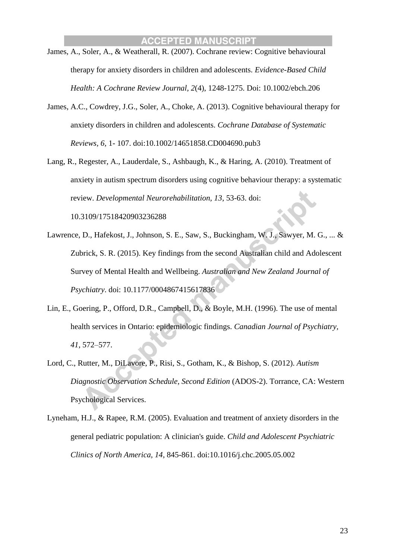- James, A., Soler, A., & Weatherall, R. (2007). Cochrane review: Cognitive behavioural therapy for anxiety disorders in children and adolescents. *Evidence-Based Child Health: A Cochrane Review Journal, 2*(4), 1248-1275. Doi: 10.1002/ebch.206
- James, A.C., Cowdrey, J.G., Soler, A., Choke, A. (2013). Cognitive behavioural therapy for anxiety disorders in children and adolescents. *Cochrane Database of Systematic Reviews, 6,* 1- 107. doi:10.1002/14651858.CD004690.pub3
- Lang, R., Regester, A., Lauderdale, S., Ashbaugh, K., & Haring, A. (2010). Treatment of anxiety in autism spectrum disorders using cognitive behaviour therapy: a systematic review. *Developmental Neurorehabilitation, 13*, 53-63. doi: 10.3109/17518420903236288
- Lawrence, D., Hafekost, J., Johnson, S. E., Saw, S., Buckingham, W. J., Sawyer, M. G., ... & Zubrick, S. R. (2015). Key findings from the second Australian child and Adolescent Survey of Mental Health and Wellbeing. *Australian and New Zealand Journal of Psychiatry*. doi: 10.1177/0004867415617836
- Lin, E., Goering, P., Offord, D.R., Campbell, D., & Boyle, M.H. (1996). The use of mental health services in Ontario: epidemiologic findings. *Canadian Journal of Psychiatry, 41*, 572–577.
- Lord, C., Rutter, M., DiLavore, P., Risi, S., Gotham, K., & Bishop, S. (2012). *Autism Diagnostic Observation Schedule, Second Edition* (ADOS-2). Torrance, CA: Western Psychological Services.
- Lyneham, H.J., & Rapee, R.M. (2005). Evaluation and treatment of anxiety disorders in the general pediatric population: A clinician's guide. *Child and Adolescent Psychiatric Clinics of North America, 14*, 845-861. doi:10.1016/j.chc.2005.05.002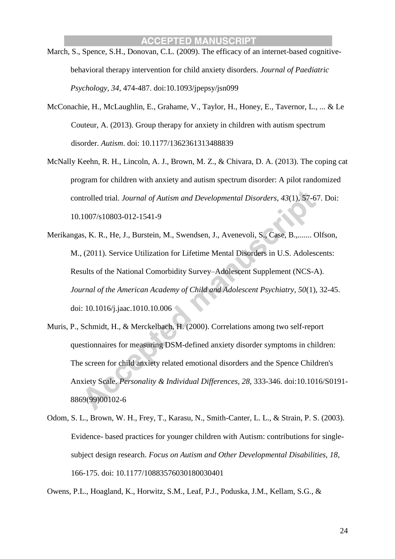- March, S., Spence, S.H., Donovan, C.L. (2009). The efficacy of an internet-based cognitivebehavioral therapy intervention for child anxiety disorders. *Journal of Paediatric Psychology, 34*, 474-487. doi:10.1093/jpepsy/jsn099
- McConachie, H., McLaughlin, E., Grahame, V., Taylor, H., Honey, E., Tavernor, L., ... & Le Couteur, A. (2013). Group therapy for anxiety in children with autism spectrum disorder. *Autism*. doi: 10.1177/1362361313488839
- McNally Keehn, R. H., Lincoln, A. J., Brown, M. Z., & Chivara, D. A. (2013). The coping cat program for children with anxiety and autism spectrum disorder: A pilot randomized controlled trial. *Journal of Autism and Developmental Disorders, 43*(1), 57-67. Doi: 10.1007/s10803-012-1541-9
- Merikangas, K. R., He, J., Burstein, M., Swendsen, J., Avenevoli, S., Case, B.,....... Olfson, M., (2011). Service Utilization for Lifetime Mental Disorders in U.S. Adolescents: Results of the National Comorbidity Survey–Adolescent Supplement (NCS-A). *Journal of the American Academy of Child and Adolescent Psychiatry, 50*(1), 32-45. doi: 10.1016/j.jaac.1010.10.006
- Muris, P., Schmidt, H., & Merckelbach, H. (2000). Correlations among two self-report questionnaires for measuring DSM-defined anxiety disorder symptoms in children: The screen for child anxiety related emotional disorders and the Spence Children's Anxiety Scale. *Personality & Individual Differences, 28*, 333-346. doi:10.1016/S0191- 8869(99)00102-6
- Odom, S. L., Brown, W. H., Frey, T., Karasu, N., Smith-Canter, L. L., & Strain, P. S. (2003). Evidence- based practices for younger children with Autism: contributions for singlesubject design research. *Focus on Autism and Other Developmental Disabilities, 18*, 166-175. doi: 10.1177/10883576030180030401

Owens, P.L., Hoagland, K., Horwitz, S.M., Leaf, P.J., Poduska, J.M., Kellam, S.G., &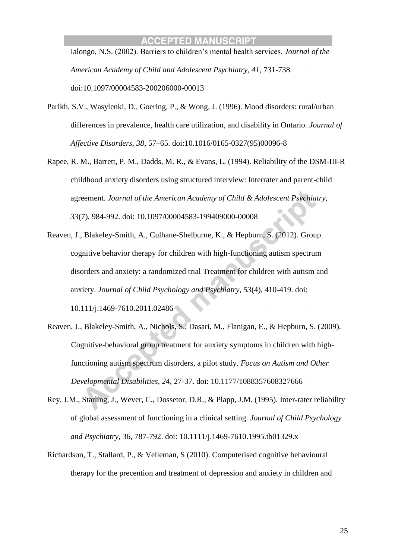Ialongo, N.S. (2002). Barriers to children's mental health services. *Journal of the American Academy of Child and Adolescent Psychiatry, 41*, 731-738. doi:10.1097/00004583-200206000-00013

- Parikh, S.V., Wasylenki, D., Goering, P., & Wong, J. (1996). Mood disorders: rural/urban differences in prevalence, health care utilization, and disability in Ontario. *Journal of Affective Disorders, 38*, 57–65. doi:10.1016/0165-0327(95)00096-8
- Rapee, R. M., Barrett, P. M., Dadds, M. R., & Evans, L. (1994). Reliability of the DSM-III-R childhood anxiety disorders using structured interview: Interrater and parent-child agreement. *Journal of the American Academy of Child & Adolescent Psychiatry, 33*(7), 984-992. doi: 10.1097/00004583-199409000-00008
- Reaven, J., Blakeley-Smith, A., Culhane-Shelburne, K., & Hepburn, S. (2012). Group cognitive behavior therapy for children with high-functioning autism spectrum disorders and anxiety: a randomized trial Treatment for children with autism and anxiety. *Journal of Child Psychology and Psychiatry, 53*(4), 410-419. doi: 10.111/j.1469-7610.2011.02486
- Reaven, J., Blakeley-Smith, A., Nichols, S., Dasari, M., Flanigan, E., & Hepburn, S. (2009). Cognitive-behavioral group treatment for anxiety symptoms in children with highfunctioning autism spectrum disorders, a pilot study. *Focus on Autism and Other Developmental Disabilities, 24*, 27-37. doi: 10.1177/1088357608327666
- Rey, J.M., Starling, J., Wever, C., Dossetor, D.R., & Plapp, J.M. (1995). Inter-rater reliability of global assessment of functioning in a clinical setting. *Journal of Child Psychology and Psychiatry,* 36, 787-792. doi: 10.1111/j.1469-7610.1995.tb01329.x
- Richardson, T., Stallard, P., & Velleman, S (2010). Computerised cognitive behavioural therapy for the precention and treatment of depression and anxiety in children and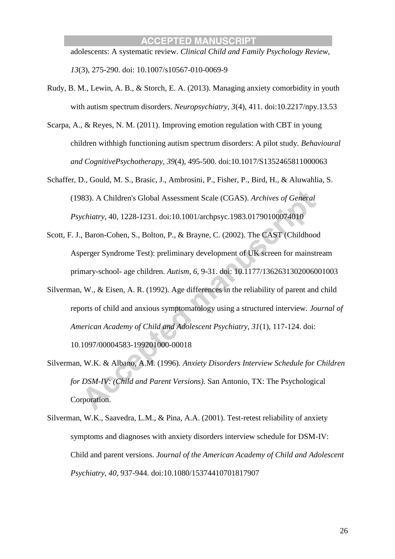adolescents: A systematic review. *Clinical Child and Family Psychology Review, 13*(3), 275-290. doi: 10.1007/s10567-010-0069-9

- Rudy, B. M., Lewin, A. B., & Storch, E. A. (2013). Managing anxiety comorbidity in youth with autism spectrum disorders. *Neuropsychiatry, 3*(4), 411. doi:10.2217/npy.13.53
- Scarpa, A., & Reyes, N. M. (2011). Improving emotion regulation with CBT in young children withhigh functioning autism spectrum disorders: A pilot study*. Behavioural and CognitivePsychotherapy, 39*(4), 495-500. doi:10.1017/S1352465811000063
- Schaffer, D., Gould, M. S., Brasic, J., Ambrosini, P., Fisher, P., Bird, H., & Aluwahlia, S. (1983). A Children's Global Assessment Scale (CGAS). *Archives of General Psychiatry,* 40, 1228-1231. doi:10.1001/archpsyc.1983.01790100074010
- Scott, F. J., Baron-Cohen, S., Bolton, P., & Brayne, C. (2002). The CAST (Childhood Asperger Syndrome Test): preliminary development of UK screen for mainstream primary-school- age children. *Autism, 6*, 9-31. doi: 10.1177/1362631302006001003
- Silverman, W., & Eisen, A. R. (1992). Age differences in the reliability of parent and child reports of child and anxious symptomatology using a structured interview. *Journal of American Academy of Child and Adolescent Psychiatry, 31*(1), 117-124. doi:

10.1097/00004583-199201000-00018

- Silverman, W.K. & Albano, A.M. (1996). *Anxiety Disorders Interview Schedule for Children for DSM-IV: (Child and Parent Versions).* San Antonio, TX: The Psychological Corporation.
- Silverman, W.K., Saavedra, L.M., & Pina, A.A. (2001). Test-retest reliability of anxiety symptoms and diagnoses with anxiety disorders interview schedule for DSM-IV: Child and parent versions. *Journal of the American Academy of Child and Adolescent Psychiatry, 40*, 937-944. doi:10.1080/15374410701817907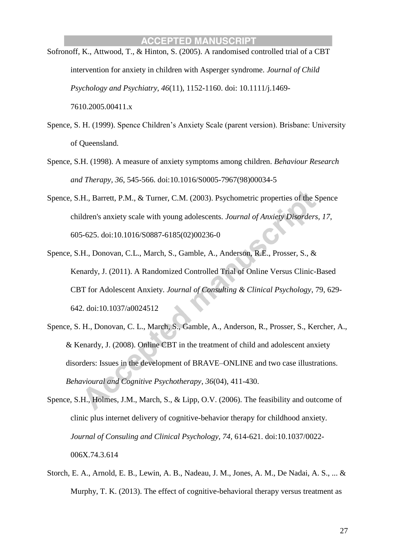- Sofronoff, K., Attwood, T., & Hinton, S. (2005). A randomised controlled trial of a CBT intervention for anxiety in children with Asperger syndrome. *Journal of Child Psychology and Psychiatry, 46*(11), 1152-1160. doi: 10.1111/j.1469- 7610.2005.00411.x
- Spence, S. H. (1999). Spence Children's Anxiety Scale (parent version). Brisbane: University of Queensland.
- Spence, S.H. (1998). A measure of anxiety symptoms among children. *Behaviour Research and Therapy, 36*, 545-566. doi:10.1016/S0005-7967(98)00034-5
- Spence, S.H., Barrett, P.M., & Turner, C.M. (2003). Psychometric properties of the Spence children's anxiety scale with young adolescents. *Journal of Anxiety Disorders, 17*, 605-625. doi:10.1016/S0887-6185(02)00236-0
- Spence, S.H., Donovan, C.L., March, S., Gamble, A., Anderson, R.E., Prosser, S., & Kenardy, J. (2011). A Randomized Controlled Trial of Online Versus Clinic-Based CBT for Adolescent Anxiety. *Journal of Consulting & Clinical Psychology*, 79, 629- 642. doi:10.1037/a0024512
- Spence, S. H., Donovan, C. L., March, S., Gamble, A., Anderson, R., Prosser, S., Kercher, A., & Kenardy, J. (2008). Online CBT in the treatment of child and adolescent anxiety disorders: Issues in the development of BRAVE–ONLINE and two case illustrations. *Behavioural and Cognitive Psychotherapy*, *36*(04), 411-430.
- Spence, S.H., Holmes, J.M., March, S., & Lipp, O.V. (2006). The feasibility and outcome of clinic plus internet delivery of cognitive-behavior therapy for childhood anxiety. *Journal of Consuling and Clinical Psychology, 74,* 614-621. doi:10.1037/0022- 006X.74.3.614
- Storch, E. A., Arnold, E. B., Lewin, A. B., Nadeau, J. M., Jones, A. M., De Nadai, A. S., ... & Murphy, T. K. (2013). The effect of cognitive-behavioral therapy versus treatment as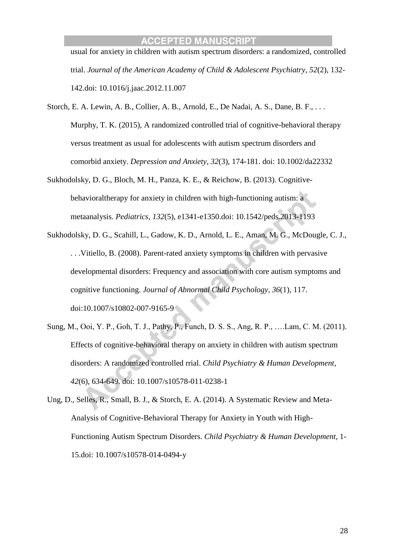usual for anxiety in children with autism spectrum disorders: a randomized, controlled trial. *Journal of the American Academy of Child & Adolescent Psychiatry*, *52*(2), 132- 142.doi: 10.1016/j.jaac.2012.11.007

- Storch, E. A. Lewin, A. B., Collier, A. B., Arnold, E., De Nadai, A. S., Dane, B. F., . . . Murphy, T. K. (2015), A randomized controlled trial of cognitive-behavioral therapy versus treatment as usual for adolescents with autism spectrum disorders and comorbid anxiety. *Depression and Anxiety, 32*(3), 174-181. doi: 10.1002/da22332
- Sukhodolsky, D. G., Bloch, M. H., Panza, K. E., & Reichow, B. (2013). Cognitivebehavioraltherapy for anxiety in children with high-functioning autism: a metaanalysis. *Pediatrics*, *132*(5), e1341-e1350.doi: 10.1542/peds.2013-1193
- Sukhodolsky, D. G., Scahill, L., Gadow, K. D., Arnold, L. E., Aman, M. G., McDougle, C. J., . . .Vitiello, B. (2008). Parent-rated anxiety symptoms in children with pervasive developmental disorders: Frequency and association with core autism symptoms and cognitive functioning. *Journal of Abnormal Child Psychology, 36*(1), 117. doi:10.1007/s10802-007-9165-9
- Sung, M., Ooi, Y. P., Goh, T. J., Pathy, P., Funch, D. S. S., Ang, R. P., ….Lam, C. M. (2011). Effects of cognitive-behavioral therapy on anxiety in children with autism spectrum disorders: A randomized controlled rrial. *Child Psychiatry & Human Development, 42*(6), 634-649. doi: 10.1007/s10578-011-0238-1
- Ung, D., Selles, R., Small, B. J., & Storch, E. A. (2014). A Systematic Review and Meta-Analysis of Cognitive-Behavioral Therapy for Anxiety in Youth with High-Functioning Autism Spectrum Disorders. *Child Psychiatry & Human Development*, 1- 15.doi: 10.1007/s10578-014-0494-y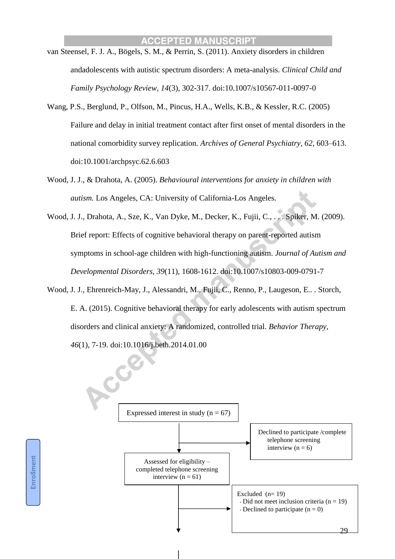- van Steensel, F. J. A., Bögels, S. M., & Perrin, S. (2011). Anxiety disorders in children andadolescents with autistic spectrum disorders: A meta-analysis. *Clinical Child and Family Psychology Review, 14*(3), 302-317. doi:10.1007/s10567-011-0097-0
- Wang, P.S., Berglund, P., Olfson, M., Pincus, H.A., Wells, K.B., & Kessler, R.C. (2005) Failure and delay in initial treatment contact after first onset of mental disorders in the national comorbidity survey replication*. Archives of General Psychiatry, 62*, 603–613. doi:10.1001/archpsyc.62.6.603
- Wood, J. J., & Drahota, A. (2005). *Behavioural interventions for anxiety in children with autism.* Los Angeles, CA: University of California-Los Angeles.
- Wood, J. J., Drahota, A., Sze, K., Van Dyke, M., Decker, K., Fujii, C., . . . Spiker, M. (2009). Brief report: Effects of cognitive behavioral therapy on parent-reported autism symptoms in school-age children with high-functioning autism. *Journal of Autism and Developmental Disorders, 39*(11), 1608-1612. doi:10.1007/s10803-009-0791-7
- Wood, J. J., Ehrenreich-May, J., Alessandri, M., Fujii, C., Renno, P., Laugeson, E.. . Storch, E. A. (2015). Cognitive behavioral therapy for early adolescents with autism spectrum disorders and clinical anxiety: A randomized, controlled trial. *Behavior Therapy, 46*(1), 7-19. doi:10.1016/j.beth.2014.01.00

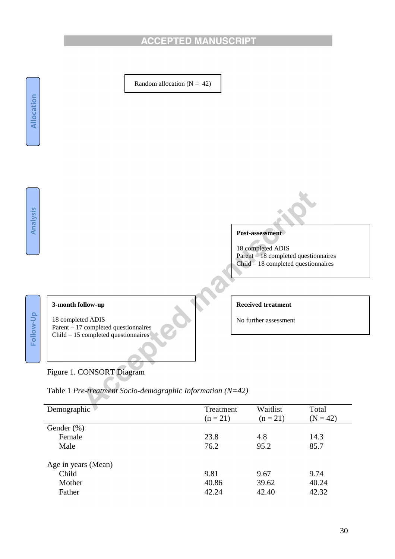

# Figure 1. CONSORT Diagram

z.

| Table 1 Pre-treatment Socio-demographic Information ( $N=42$ ) |  |
|----------------------------------------------------------------|--|
|                                                                |  |
|                                                                |  |
|                                                                |  |

| Demographic         | Treatment<br>$(n = 21)$ | Waitlist<br>$(n = 21)$ | Total<br>$(N = 42)$ |
|---------------------|-------------------------|------------------------|---------------------|
| Gender $(\%)$       |                         |                        |                     |
| Female              | 23.8                    | 4.8                    | 14.3                |
| Male                | 76.2                    | 95.2                   | 85.7                |
| Age in years (Mean) |                         |                        |                     |
| Child               | 9.81                    | 9.67                   | 9.74                |
| Mother              | 40.86                   | 39.62                  | 40.24               |
| Father              | 42.24                   | 42.40                  | 42.32               |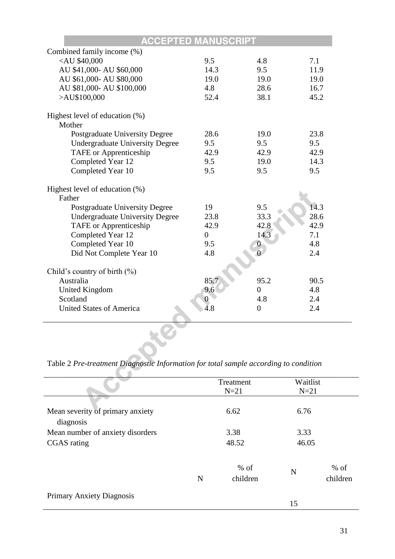| ACCEPTED                                                         |                  |                  |      |
|------------------------------------------------------------------|------------------|------------------|------|
| Combined family income (%)                                       |                  |                  |      |
| <au \$40,000<="" td=""><td>9.5</td><td>4.8</td><td>7.1</td></au> | 9.5              | 4.8              | 7.1  |
| AU \$41,000- AU \$60,000                                         | 14.3             | 9.5              | 11.9 |
| AU \$61,000- AU \$80,000                                         | 19.0             | 19.0             | 19.0 |
| AU \$81,000- AU \$100,000                                        | 4.8              | 28.6             | 16.7 |
| $>$ AU\$100,000                                                  | 52.4             | 38.1             | 45.2 |
|                                                                  |                  |                  |      |
| Highest level of education (%)<br>Mother                         |                  |                  |      |
| Postgraduate University Degree                                   | 28.6             | 19.0             | 23.8 |
| <b>Undergraduate University Degree</b>                           | 9.5              | 9.5              | 9.5  |
| <b>TAFE</b> or Apprenticeship                                    | 42.9             | 42.9             | 42.9 |
| Completed Year 12                                                | 9.5              | 19.0             | 14.3 |
| Completed Year 10                                                | 9.5              | 9.5              | 9.5  |
|                                                                  |                  |                  |      |
| Highest level of education (%)                                   |                  |                  |      |
| Father                                                           |                  |                  |      |
| <b>Postgraduate University Degree</b>                            | 19               | 9.5              | 14.3 |
| <b>Undergraduate University Degree</b>                           | 23.8             | 33.3             | 28.6 |
| <b>TAFE</b> or Apprenticeship                                    | 42.9             | 42.8             | 42.9 |
| Completed Year 12                                                | $\overline{0}$   | 14.3             | 7.1  |
| Completed Year 10                                                | 9.5              | $\boldsymbol{0}$ | 4.8  |
| Did Not Complete Year 10                                         | 4.8              |                  | 2.4  |
|                                                                  |                  |                  |      |
| Child's country of birth (%)                                     |                  |                  |      |
| Australia                                                        | 85.7             | 95.2             | 90.5 |
| <b>United Kingdom</b>                                            | 9.6              | $\theta$         | 4.8  |
| Scotland                                                         | $\boldsymbol{0}$ | 4.8              | 2.4  |
| <b>United States of America</b>                                  | 4.8              | $\overline{0}$   | 2.4  |
|                                                                  |                  |                  |      |
|                                                                  |                  |                  |      |
|                                                                  |                  |                  |      |
|                                                                  |                  |                  |      |

Table 2 *Pre-treatment Diagnostic Information for total sample according to condition*

|                                  |   | Treatment          | Waitlist |                    |
|----------------------------------|---|--------------------|----------|--------------------|
|                                  |   | $N=21$             | $N=21$   |                    |
| Mean severity of primary anxiety |   | 6.62               | 6.76     |                    |
| diagnosis                        |   |                    |          |                    |
| Mean number of anxiety disorders |   | 3.38               | 3.33     |                    |
| CGAS rating                      |   | 48.52              | 46.05    |                    |
|                                  | N | $%$ of<br>children | N        | $%$ of<br>children |
| <b>Primary Anxiety Diagnosis</b> |   |                    | 15       |                    |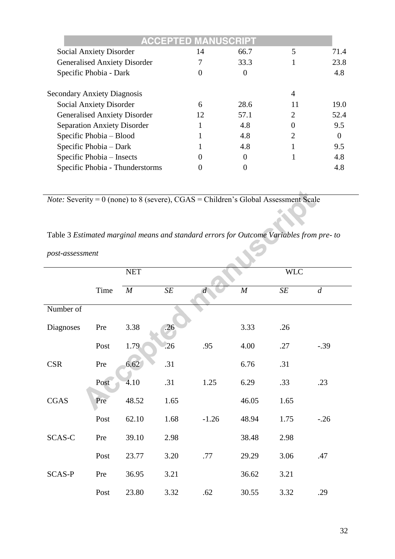|                                     | <b>ACCEPTED MANUSCRIPT</b> |                  |    |      |
|-------------------------------------|----------------------------|------------------|----|------|
| Social Anxiety Disorder             | 14                         | 66.7             | 5  | 71.4 |
| <b>Generalised Anxiety Disorder</b> |                            | 33.3             |    | 23.8 |
| Specific Phobia - Dark              |                            |                  |    | 4.8  |
| <b>Secondary Anxiety Diagnosis</b>  |                            |                  | 4  |      |
| <b>Social Anxiety Disorder</b>      | 6                          | 28.6             | 11 | 19.0 |
| <b>Generalised Anxiety Disorder</b> | 12                         | 57.1             | 2  | 52.4 |
| <b>Separation Anxiety Disorder</b>  |                            | 4.8              |    | 9.5  |
| Specific Phobia – Blood             |                            | 4.8              | っ  | 0    |
| Specific Phobia – Dark              |                            | 4.8              |    | 9.5  |
| Specific Phobia – Insects           |                            | $\left( \right)$ |    | 4.8  |
| Specific Phobia - Thunderstorms     |                            |                  |    | 4.8  |

*Note:* Severity = 0 (none) to 8 (severe), CGAS = Children's Global Assessment Scale

# Table 3 *Estimated marginal means and standard errors for Outcome Variables from pre- to*

*post-assessment*

|               |      | <b>NET</b> |      |                |                  | <b>WLC</b> |         |
|---------------|------|------------|------|----------------|------------------|------------|---------|
|               | Time | M          | SE   | $\overline{d}$ | $\boldsymbol{M}$ | SE         | d       |
| Number of     |      |            |      |                |                  |            |         |
| Diagnoses     | Pre  | 3.38       | .26  |                | 3.33             | .26        |         |
|               | Post | 1.79       | .26  | .95            | 4.00             | .27        | $-.39$  |
| <b>CSR</b>    | Pre  | 6.62       | .31  |                | 6.76             | .31        |         |
|               | Post | 4.10       | .31  | 1.25           | 6.29             | .33        | .23     |
| <b>CGAS</b>   | Pre  | 48.52      | 1.65 |                | 46.05            | 1.65       |         |
|               | Post | 62.10      | 1.68 | $-1.26$        | 48.94            | 1.75       | $-0.26$ |
| SCAS-C        | Pre  | 39.10      | 2.98 |                | 38.48            | 2.98       |         |
|               | Post | 23.77      | 3.20 | .77            | 29.29            | 3.06       | .47     |
| <b>SCAS-P</b> | Pre  | 36.95      | 3.21 |                | 36.62            | 3.21       |         |
|               | Post | 23.80      | 3.32 | .62            | 30.55            | 3.32       | .29     |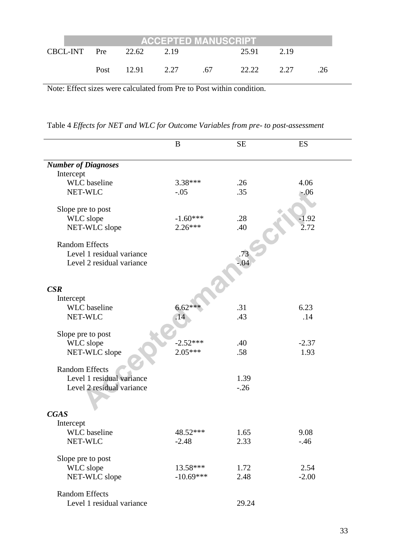|              | <b>ACCEPTED MANUSCRIPT</b> |            |      |      |       |      |     |  |
|--------------|----------------------------|------------|------|------|-------|------|-----|--|
| CBCL-INT Pre |                            | 22.62      | 2.19 |      | 25.91 | 2.19 |     |  |
|              |                            | Post 12.91 | 2.27 | - 67 | 22.22 | 2.27 | .26 |  |

Note: Effect sizes were calculated from Pre to Post within condition.

Table 4 *Effects for NET and WLC for Outcome Variables from pre- to post-assessment* 

|                            | B           | <b>SE</b> | ES      |
|----------------------------|-------------|-----------|---------|
| <b>Number of Diagnoses</b> |             |           |         |
| Intercept                  |             |           |         |
| <b>WLC</b> baseline        | 3.38***     | .26       | 4.06    |
| NET-WLC                    | $-.05$      | .35       | $-.06$  |
| Slope pre to post          |             |           |         |
| WLC slope                  | $-1.60***$  | .28       | $-1.92$ |
| NET-WLC slope              | $2.26***$   | .40       | 2.72    |
| <b>Random Effects</b>      |             |           |         |
| Level 1 residual variance  |             | .73       |         |
| Level 2 residual variance  |             | $-.04$    |         |
|                            |             |           |         |
| CSR                        |             |           |         |
| Intercept                  |             |           |         |
| <b>WLC</b> baseline        | $6.62***$   | .31       | 6.23    |
| NET-WLC                    | .14         | .43       | .14     |
| Slope pre to post          |             |           |         |
| WLC slope                  | $-2.52***$  | .40       | $-2.37$ |
| NET-WLC slope              | $2.05***$   | .58       | 1.93    |
| <b>Random Effects</b>      |             |           |         |
| Level 1 residual variance  |             | 1.39      |         |
| Level 2 residual variance  |             | $-.26$    |         |
|                            |             |           |         |
| <b>CGAS</b>                |             |           |         |
| Intercept                  |             |           |         |
| <b>WLC</b> baseline        | 48.52***    | 1.65      | 9.08    |
| NET-WLC                    | $-2.48$     | 2.33      | $-.46$  |
| Slope pre to post          |             |           |         |
| WLC slope                  | 13.58***    | 1.72      | 2.54    |
| NET-WLC slope              | $-10.69***$ | 2.48      | $-2.00$ |
| <b>Random Effects</b>      |             |           |         |
| Level 1 residual variance  |             | 29.24     |         |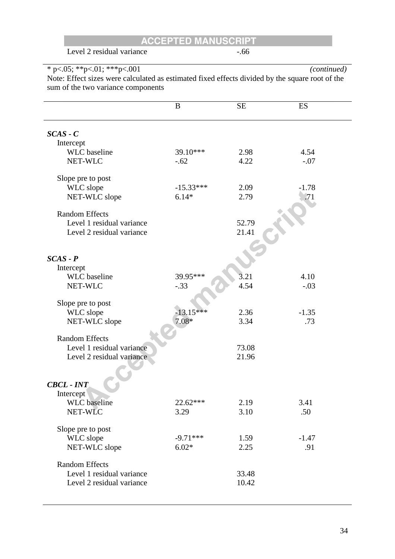Level 2 residual variance -.66

\* p<.05; \*\*p<.01; \*\*\*p<.001 *(continued)* Note: Effect sizes were calculated as estimated fixed effects divided by the square root of the sum of the two variance components

|                                                    | B           | <b>SE</b>      | ES      |
|----------------------------------------------------|-------------|----------------|---------|
| $SCAS - C$                                         |             |                |         |
| Intercept                                          |             |                |         |
| <b>WLC</b> baseline                                | 39.10***    | 2.98           | 4.54    |
| NET-WLC                                            | $-.62$      | 4.22           | $-.07$  |
| Slope pre to post                                  |             |                |         |
| WLC slope                                          | $-15.33***$ | 2.09           | $-1.78$ |
| NET-WLC slope                                      | $6.14*$     | 2.79           | .71     |
| <b>Random Effects</b>                              |             |                |         |
| Level 1 residual variance                          |             | 52.79          |         |
| Level 2 residual variance                          |             | 21.41          |         |
|                                                    |             |                |         |
| $SCAS - P$                                         |             |                |         |
| Intercept                                          |             |                |         |
| <b>WLC</b> baseline                                | 39.95***    | 3.21           | 4.10    |
| NET-WLC                                            | $-.33$      | 4.54           | $-.03$  |
| Slope pre to post                                  |             |                |         |
| WLC slope                                          | $-13.15***$ | 2.36           | $-1.35$ |
| NET-WLC slope                                      | $7.08*$     | 3.34           | .73     |
|                                                    |             |                |         |
| <b>Random Effects</b>                              |             |                |         |
| Level 1 residual variance                          |             | 73.08          |         |
| Level 2 residual variance                          |             | 21.96          |         |
|                                                    |             |                |         |
| <b>CBCL - INT</b>                                  |             |                |         |
| Intercept                                          |             |                |         |
| <b>WLC</b> baseline                                | 22.62***    | 2.19           | 3.41    |
| NET-WLC                                            | 3.29        | 3.10           | .50     |
| Slope pre to post                                  |             |                |         |
| WLC slope                                          | $-9.71***$  | 1.59           | $-1.47$ |
| NET-WLC slope                                      | $6.02*$     | 2.25           | .91     |
|                                                    |             |                |         |
| <b>Random Effects</b><br>Level 1 residual variance |             |                |         |
| Level 2 residual variance                          |             | 33.48<br>10.42 |         |
|                                                    |             |                |         |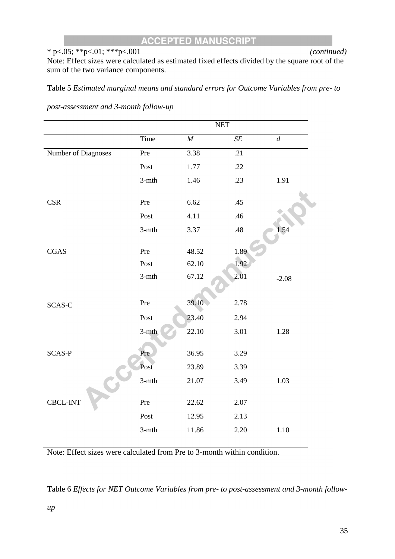## \* p<.05; \*\*p<.01; \*\*\*p<.001 *(continued)*

Note: Effect sizes were calculated as estimated fixed effects divided by the square root of the sum of the two variance components.

Table 5 *Estimated marginal means and standard errors for Outcome Variables from pre- to* 

|                     |          | <b>NET</b> |      |                  |
|---------------------|----------|------------|------|------------------|
|                     | Time     | $\cal M$   | SE   | $\boldsymbol{d}$ |
| Number of Diagnoses | Pre      | 3.38       | .21  |                  |
|                     | Post     | 1.77       | .22  |                  |
|                     | $3-$ mth | 1.46       | .23  | 1.91             |
| <b>CSR</b>          | Pre      | 6.62       | .45  |                  |
|                     | Post     | 4.11       | .46  |                  |
|                     | $3-$ mth | 3.37       | .48  | 1.54             |
| <b>CGAS</b>         | Pre      | 48.52      | 1.89 |                  |
|                     | Post     | 62.10      | 1.92 |                  |
|                     | $3-$ mth | 67.12      | 2.01 | $-2.08$          |
|                     |          |            |      |                  |
| SCAS-C              | Pre      | 39.10      | 2.78 |                  |
|                     | Post     | 23.40      | 2.94 |                  |
|                     | $3-$ mth | 22.10      | 3.01 | 1.28             |
| <b>SCAS-P</b>       | Pre      | 36.95      | 3.29 |                  |
|                     | Post     | 23.89      | 3.39 |                  |
|                     | $3-$ mth | 21.07      | 3.49 | 1.03             |
| CBCL-INT            | Pre      | 22.62      | 2.07 |                  |
|                     | Post     | 12.95      | 2.13 |                  |
|                     | $3-$ mth | 11.86      | 2.20 | 1.10             |
|                     |          |            |      |                  |

*post-assessment and 3-month follow-up*

Note: Effect sizes were calculated from Pre to 3-month within condition.

Table 6 *Effects for NET Outcome Variables from pre- to post-assessment and 3-month follow-*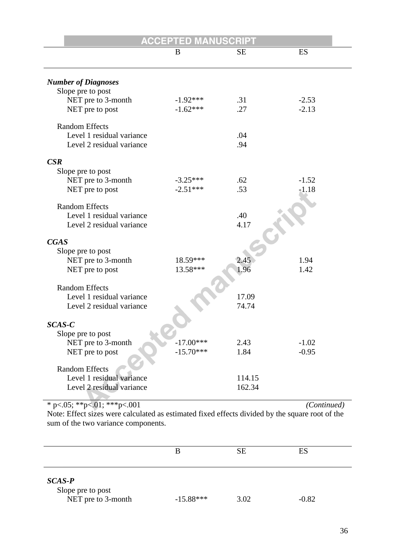|                                         | <b>ACCEPTED MANUSCRIPT</b> |           |         |
|-----------------------------------------|----------------------------|-----------|---------|
|                                         | B                          | <b>SE</b> | ES      |
|                                         |                            |           |         |
| <b>Number of Diagnoses</b>              |                            |           |         |
| Slope pre to post                       |                            |           |         |
| NET pre to 3-month                      | $-1.92***$                 | .31       | $-2.53$ |
| NET pre to post                         | $-1.62***$                 | .27       | $-2.13$ |
| <b>Random Effects</b>                   |                            |           |         |
| Level 1 residual variance               |                            | .04       |         |
| Level 2 residual variance               |                            | .94       |         |
|                                         |                            |           |         |
| $\mathbf{CSR}$                          |                            |           |         |
| Slope pre to post<br>NET pre to 3-month | $-3.25***$                 | .62       | $-1.52$ |
| NET pre to post                         | $-2.51***$                 | .53       | $-1.18$ |
|                                         |                            |           |         |
| <b>Random Effects</b>                   |                            |           |         |
| Level 1 residual variance               |                            | .40       |         |
| Level 2 residual variance               |                            | 4.17      |         |
| <b>CGAS</b>                             |                            |           |         |
| Slope pre to post                       |                            |           |         |
| NET pre to 3-month                      | 18.59***                   |           | 1.94    |
| NET pre to post                         | 13.58***                   | 1.96      | 1.42    |
|                                         |                            |           |         |
| <b>Random Effects</b>                   |                            |           |         |
| Level 1 residual variance               |                            | 17.09     |         |
| Level 2 residual variance               |                            | 74.74     |         |
| SCAS-C                                  |                            |           |         |
| Slope pre to post                       |                            |           |         |
| NET pre to 3-month                      | $-17.00***$                | 2.43      | $-1.02$ |
| NET pre to post                         | $-15.70***$                | 1.84      | $-0.95$ |
|                                         |                            |           |         |
| <b>Random Effects</b>                   |                            |           |         |
| Level 1 residual variance               |                            | 114.15    |         |
| Level 2 residual variance               |                            | 162.34    |         |
|                                         |                            |           |         |

\* p<.05; \*\*p<.01; \*\*\*p<.001 *(Continued)*

Note: Effect sizes were calculated as estimated fixed effects divided by the square root of the sum of the two variance components.

|                                                     | В           | <b>SE</b> | ES      |  |
|-----------------------------------------------------|-------------|-----------|---------|--|
| $SCAS-P$<br>Slope pre to post<br>NET pre to 3-month | $-15.88***$ | 3.02      | $-0.82$ |  |